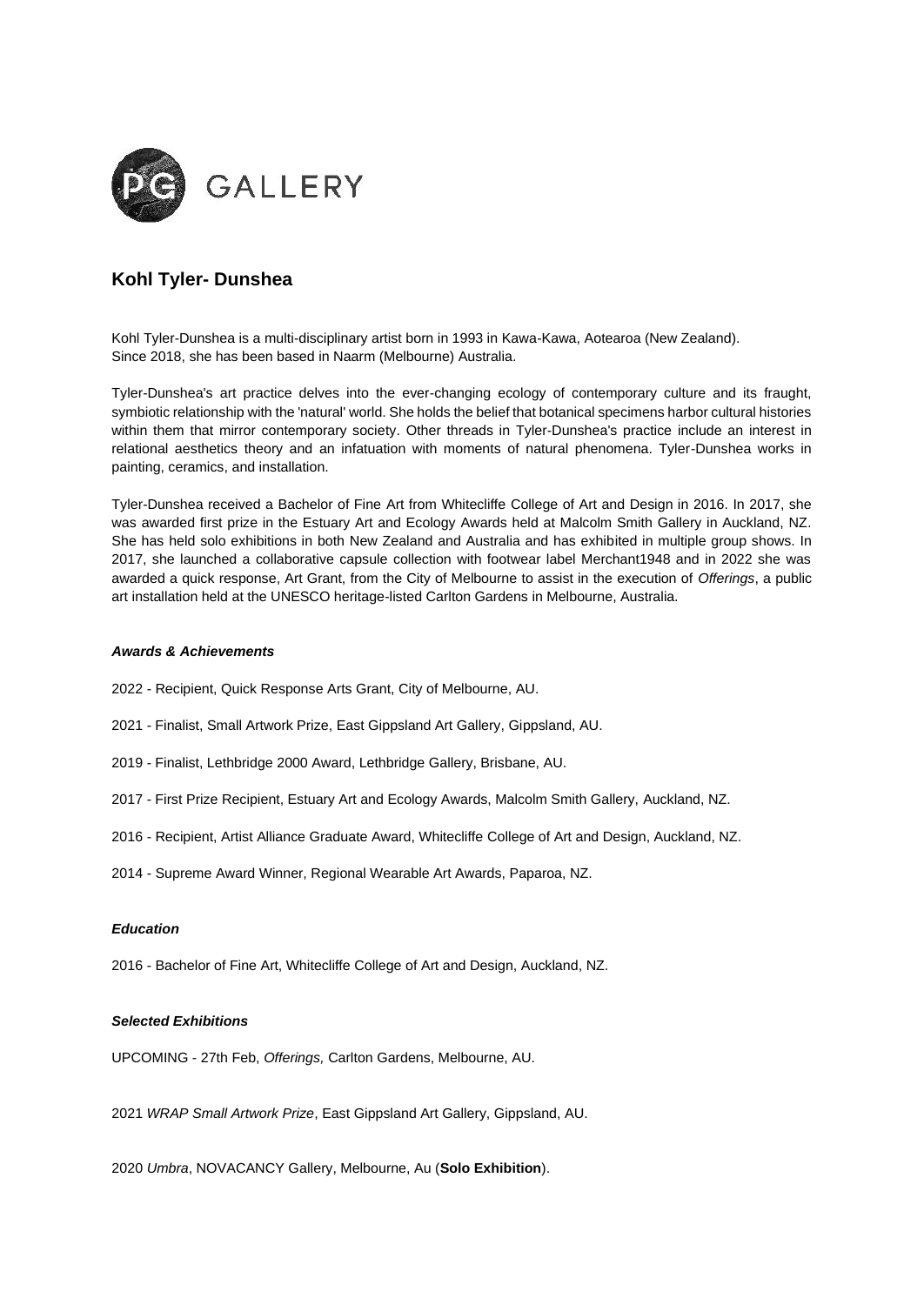

## **Kohl Tyler- Dunshea**

Kohl Tyler-Dunshea is a multi-disciplinary artist born in 1993 in Kawa-Kawa, Aotearoa (New Zealand). Since 2018, she has been based in Naarm (Melbourne) Australia.

Tyler-Dunshea's art practice delves into the ever-changing ecology of contemporary culture and its fraught, symbiotic relationship with the 'natural' world. She holds the belief that botanical specimens harbor cultural histories within them that mirror contemporary society. Other threads in Tyler-Dunshea's practice include an interest in relational aesthetics theory and an infatuation with moments of natural phenomena. Tyler-Dunshea works in painting, ceramics, and installation.

Tyler-Dunshea received a Bachelor of Fine Art from Whitecliffe College of Art and Design in 2016. In 2017, she was awarded first prize in the Estuary Art and Ecology Awards held at Malcolm Smith Gallery in Auckland, NZ*.*  She has held solo exhibitions in both New Zealand and Australia and has exhibited in multiple group shows. In 2017, she launched a collaborative capsule collection with footwear label Merchant1948 and in 2022 she was awarded a quick response, Art Grant, from the City of Melbourne to assist in the execution of *Offerings*, a public art installation held at the UNESCO heritage-listed Carlton Gardens in Melbourne, Australia.

## *Awards & Achievements*

- 2022 Recipient, Quick Response Arts Grant, City of Melbourne, AU.
- 2021 Finalist, Small Artwork Prize, East Gippsland Art Gallery, Gippsland, AU.
- 2019 Finalist, Lethbridge 2000 Award, Lethbridge Gallery, Brisbane, AU.
- 2017 First Prize Recipient, Estuary Art and Ecology Awards, Malcolm Smith Gallery, Auckland, NZ.
- 2016 Recipient, Artist Alliance Graduate Award, Whitecliffe College of Art and Design, Auckland, NZ.
- 2014 Supreme Award Winner, Regional Wearable Art Awards, Paparoa, NZ.

## *Education*

2016 - Bachelor of Fine Art, Whitecliffe College of Art and Design, Auckland, NZ.

## *Selected Exhibitions*

UPCOMING - 27th Feb, *Offerings,* Carlton Gardens, Melbourne, AU.

2021 *WRAP Small Artwork Prize*, East Gippsland Art Gallery, Gippsland, AU.

2020 *Umbra*, NOVACANCY Gallery, Melbourne, Au (**Solo Exhibition**).